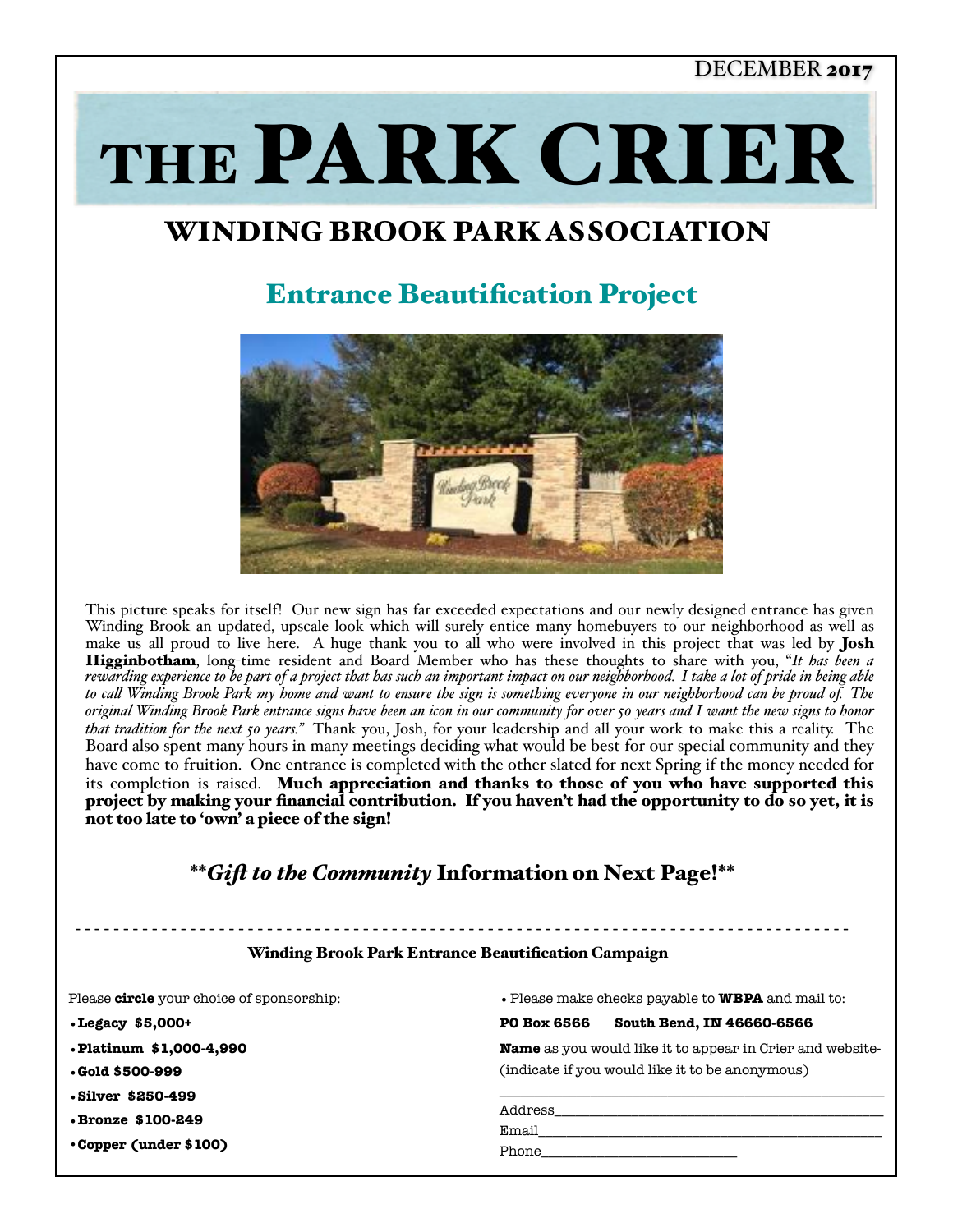## DECEMBER 2017

THE PARK CRIER

# WINDING BROOK PARK ASSOCIATION

## Entrance Beautification Project



This picture speaks for itself! Our new sign has far exceeded expectations and our newly designed entrance has given Winding Brook an updated, upscale look which will surely entice many homebuyers to our neighborhood as well as make us all proud to live here. A huge thank you to all who were involved in this project that was led by **Josh** Higginbotham, long-time resident and Board Member who has these thoughts to share with you, "*It has been a rewarding experience to be part of a project that has such an important impact on our neighborhood. I take a lot of pride in being able to cal Winding Brook Park my home and want to ensure the sign is something everyone in our neighborhood can be proud of. The original Winding Brook Park entrance signs have been an icon in our community for over 50 years and I want the new signs to honor that tradition for the next 50 years."* Thank you, Josh, for your leadership and all your work to make this a reality. The Board also spent many hours in many meetings deciding what would be best for our special community and they have come to fruition. One entrance is completed with the other slated for next Spring if the money needed for its completion is raised. Much appreciation and thanks to those of you who have supported this project by making your financial contribution. If you haven't had the opportunity to do so yet, it is not too late to 'own' a piece of the sign!

## \*\**Gif to the Community* Information on Next Page!\*\*

### - - - - - - - - - - - - - - - - - - - - - - - - - - - - - - - - - - - - - - - - - - - - - - - - - - - - - - - - - - - - - - - - - - - - - - - - - - - - - - - - - Winding Brook Park Entrance Beautification Campaign

Please **circle** your choice of sponsorship: **•Legacy \$5,000+ •Platinum \$1,000-4,990 •Gold \$500-999 •Silver \$250-499 •Bronze \$100-249**  •**Copper (under \$100)**  •Please make checks payable to **WBPA** and mail to: **PO Box 6566 South Bend, IN 46660-6566 Name** as you would like it to appear in Crier and website- (indicate if you would like it to be anonymous) \_\_\_\_\_\_\_\_\_\_\_\_\_\_\_\_\_\_\_\_\_\_\_\_\_\_\_\_\_\_\_\_\_\_\_\_\_\_\_\_\_\_\_\_\_\_\_\_\_\_\_\_\_\_\_ Address\_\_\_\_\_\_\_\_\_\_\_\_\_\_\_\_\_\_\_\_\_\_\_\_\_\_\_\_\_\_\_\_\_\_\_\_\_\_\_\_\_\_\_\_\_\_\_ Email\_\_\_\_\_\_\_\_\_\_\_\_\_\_\_\_\_\_\_\_\_\_\_\_\_\_\_\_\_\_\_\_\_\_\_\_\_\_\_\_\_\_\_\_\_\_\_\_\_ Phone\_\_\_\_\_\_\_\_\_\_\_\_\_\_\_\_\_\_\_\_\_\_\_\_\_\_\_\_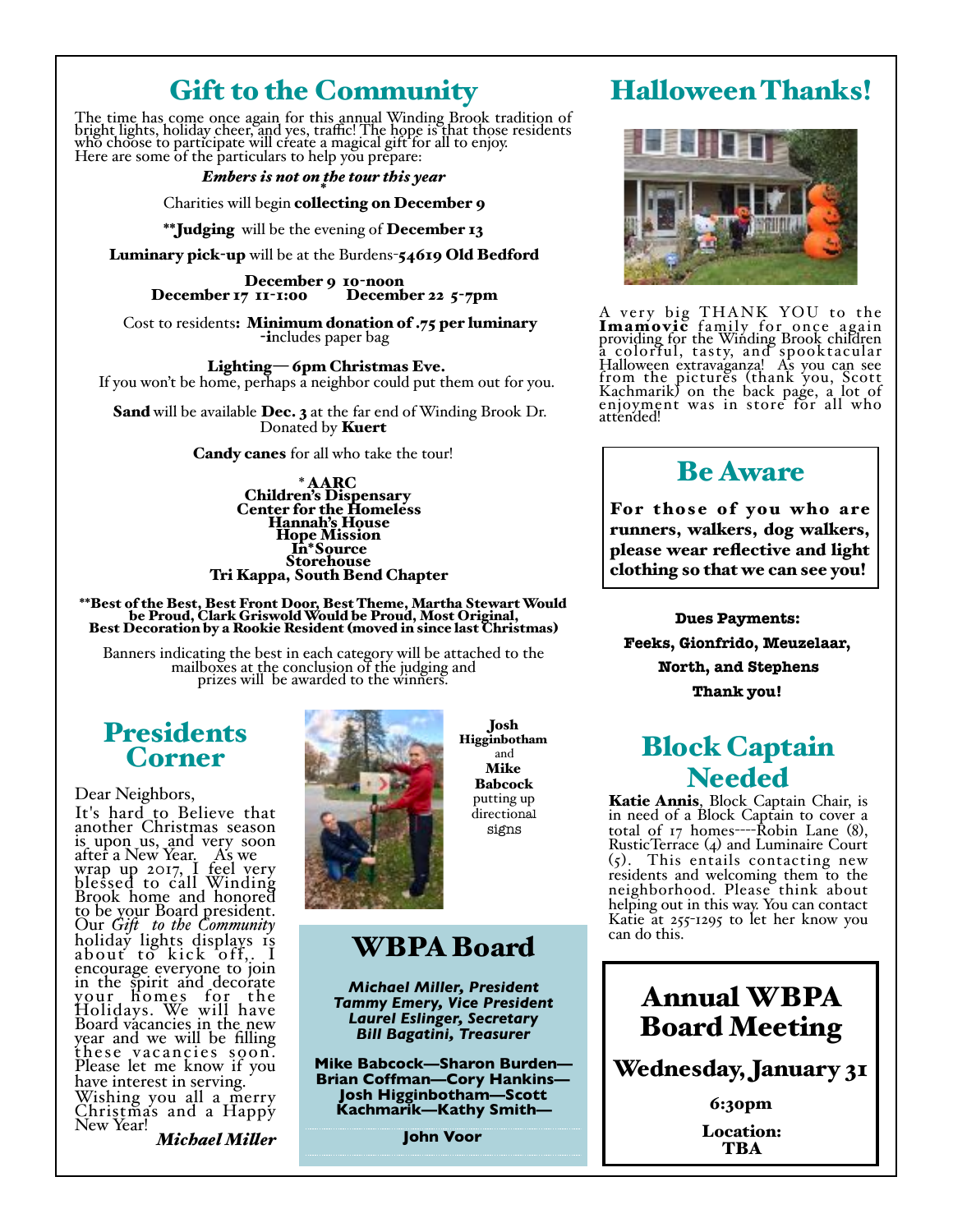# Gift to the Community

The time has come once again for this annual Winding Brook tradition of bright lights, holiday cheer, and yes, traffic! The hope is that those residents<br>who choose to participate will create a magical gift for all to enjoy. Here are some of the particulars to help you prepare:

#### *Embers is not on the tour this year* \*

#### Charities will begin collecting on December 9

\*\*Judging will be the evening of December 13

Luminary pick-up will be at the Burdens-54619 Old Bedford<br>December 9 10-noon<br>December 17 11-1:00 December 22 5-7pm December  $17$   $11$ - $1:00$ 

Cost to residents: Minimum donation of .75 per luminary<br>includes paper bag

 Lighting— 6pm Christmas Eve. If you won't be home, perhaps a neighbor could put them out for you.

Sand will be available Dec. 3 at the far end of Winding Brook Dr. Donated by Kuert

Candy canes for all who take the tour!

 \* AARC Children's Dispensary Center for the Homeless Hannah's House Hope Mission In\*Source<br>Storehouse Tri Kappa, South Bend Chapter

\*\*Best of the Best, Best Front Door, Best Theme, Martha Stewart Would be Proud, Clark Griswold Would be Proud, Most Original, Best Decoration by a Rookie Resident (moved in since last Christmas)

Banners indicating the best in each category will be attached to the mailboxes at the conclusion of the judging and prizes will be awarded to the winners.

## **Presidents** Corner

Dear Neighbors, It's hard to Believe that another Christmas season is upon us, and very soon after a New Year. As we wrap up 2017, I feel very blessed to call Winding Brook home and honored to be your Board president.<br>Our Gift to the Community Our *Gif to the Community* holiday lights displays 1s abouť to kick off,<sub>: .</sub>I encourage everyone to join in the spirit and decorate your homes for the Holidays. We will have Board vacancies in the new year and we will be filling these vacancies soon. Please let me know if you have interest in serving. Wishing you all a merry Christmas and a Happy New Year!

*Michael Miler*



Josh Higginbotham and Mike Babcock putting up directional signs

## WBPA Board

*Michael Miller, President Tammy Emery, Vice President Laurel Eslinger, Secretary Bill Bagatini, Treasurer*

**Mike Babcock—Sharon Burden— Brian Coffman—Cory Hankins— Josh Higginbotham—Scott Kachmarik—Kathy Smith—**

**John Voor**

## Halloween Thanks!



A very big THANK YOU to the Imamovic family for once again<br>providing for the Winding Brook children a colorful, tasty, and spooktacular Halloween extravaganza! As you can see from the pictures (thank you, Scott<br>Kachmarik) on the back page, a lot of<br>enjoyment was in store for all who attended!

## Be Aware

For those of you who are runners, walkers, dog walkers, please wear reflective and light clothing so that we can see you!

**Dues Payments: Feeks, Gionfrido, Meuzelaar, North, and Stephens Thank you!**

# Block Captain **Needed**<br>**Katie Annis**, Block Captain Chair, is

**Katie Annis**, Block Captain Chair, is in need of a Block Captain to cover a total of 17 homes----Robin Lane (8), RusticTerrace (4) and Luminaire Court (5). This entails contacting new residents and welcoming them to the neighborhood. Please think about helping out in this way. You can contact Katie at 255-1295 to let her know you can do this.

> Annual WBPA Board Meeting

Wednesday, January 31

6:30pm Location: **TBA**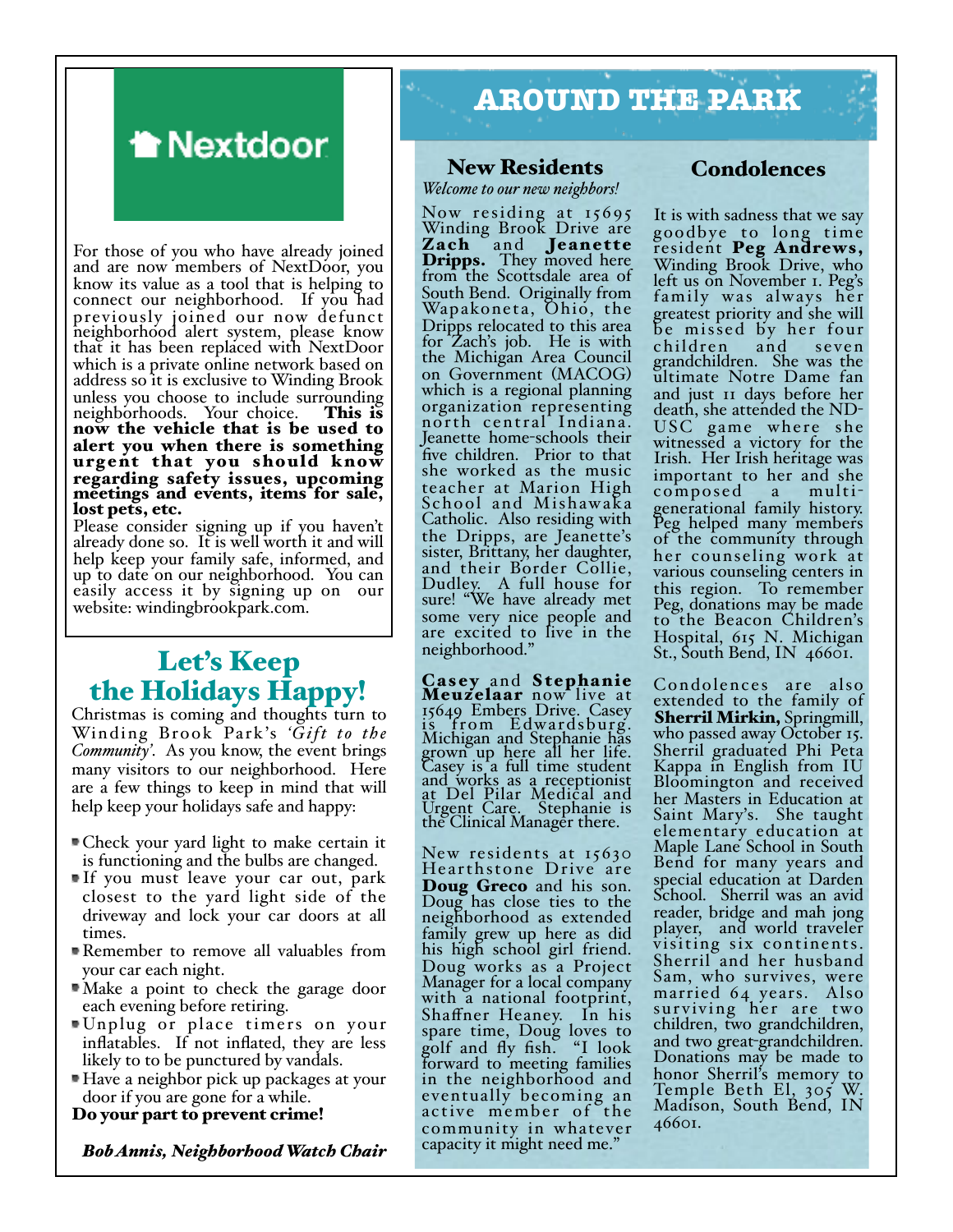# **A** Nextdoor

For those of you who have already joined and are now members of NextDoor, you know its value as a tool that is helping to connect our neighborhood. If you had previously joined our now defunct neighborhood alert system, please know that it has been replaced with NextDoor which is a private online network based on address so it is exclusive to Winding Brook unless you choose to include surrounding<br>neighborhoods. Your choice. **This is** neighborhoods. Your choice. now the vehicle that is be used to alert you when there is something urgent that you should know regarding safety issues, upcoming meetings and events, items for sale, lost pets, etc.

Please consider signing up if you haven't already done so. It is well worth it and will help keep your family safe, informed, and up to date on our neighborhood. You can easily access it by signing up on our website: windingbrookpark.com.

## Let's Keep the Holidays Happy!

Christmas is coming and thoughts turn to Winding Brook Park's *'Gift to the Community'*. As you know, the event brings many visitors to our neighborhood. Here are a few things to keep in mind that will help keep your holidays safe and happy:

- Check your yard light to make certain it is functioning and the bulbs are changed.
- If you must leave your car out, park closest to the yard light side of the driveway and lock your car doors at all times.
- Remember to remove all valuables from your car each night.
- Make a point to check the garage door each evening before retiring.
- Unplug or place timers on your inflatables. If not inflated, they are less likely to to be punctured by vandals.
- Have a neighbor pick up packages at your door if you are gone for a while.

Do your part to prevent crime!

*Bob Annis, Neighborhood Watch Chair*

# **AROUND THE PARK**

### New Residents

*Welcome to our new neighbors!*

Now residing at 15695 Winding Brook Drive are Zach and Jeanette<br>Dripps. They moved here<br>from the Scottsdale area of South Bend. Originally from Wapakoneta, Ohio, the Dripps relocated to this area for Zach's job. He is with the Michigan Area Council on Government (MACOG) which is a regional planning organization representing nor th central Indiana. Jeanette home-schools their five children. Prior to that she worked as the music teacher at Marion High School and Mishawaka Catholic. Also residing with the Dripps, are Jeanette's sister, Brittany, her daughter, and their Border Collie, Dudley. A full house for sure! "We have already met some very nice people and are excited to live in the neighborhood."

Casey and Stephanie<br>Meuzelaar now live at 15649 Embers Drive. Casey is from Edwardsburg. Michigan and Stephanie has grown up here all her life. Casey is a full time student and works as a receptionist at Del Pilar Medical and Urgent Care. Stephanie is the Clinical Manager there.

New residents at 15630 Hear thstone Drive are **Doug Greco** and his son. Doug has close ties to the neighborhood as extended family grew up here as did his high school girl friend. Doug works as a Project Manager for a local company with a national footprint,<br>Shaffner Heaney. In his spare time, Doug loves to golf and fly fish. "I look forward to meeting families in the neighborhood and eventually becoming an active member of the community in whatever capacity it might need me."

### Condolences

It is with sadness that we say goodbye to long time resident Peg Andrews, Winding Brook Drive, who left us on November 1. Peg's family was always her greatest priority and she will be missed by her four<br>children and seven children and seven grandchildren. She was the ultimate Notre Dame fan and just 11 days before her USC game where she witnessed a victory for the Irish. Her Irish heritage was important to her and she<br>composed a multi $composed$ generational family history. Peg helped many members of the community through her counseling work at various counseling centers in this region. To remember Peg, donations may be made to the Beacon Children's Hospital, 615 N. Michigan St., South Bend, IN  $466$ 01.

 Condolences are also extended to the family of Sherril Mirkin, Springmill, who passed away October 15. Sherril graduated Phi Peta Kappa in English from IU Bloomington and received her Masters in Education at Saint Mary's. She taught elementary education at Maple Lane School in South Bend for many years and special education at Darden School. Sherril was an avid reader, bridge and mah jong player, and world traveler visiting six continents. Sherril and her husband Sam, who survives, were married 64 years. Also sur viving her are two children, two grandchildren, and two great-grandchildren. Donations may be made to honor Sherril's memory to Temple Beth El, 305 W. Madison, South Bend, IN 46601.